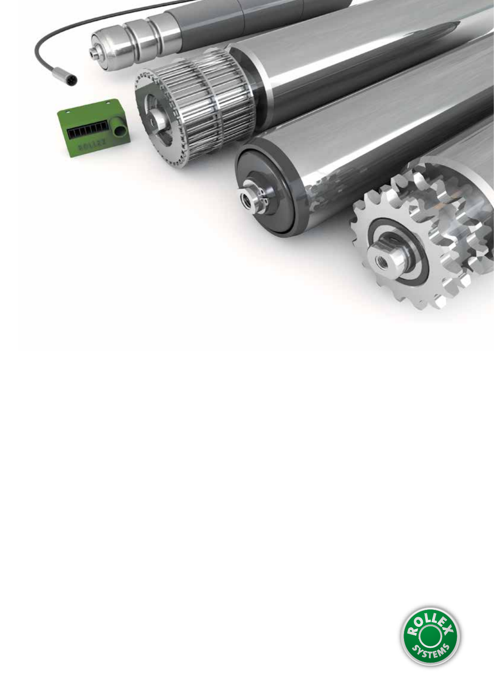

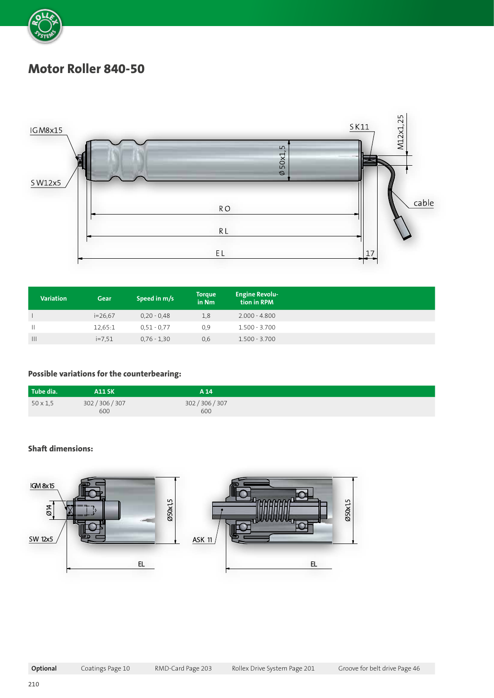



| <b>Variation</b> | Gear       | Speed in m/s  | <b>Torque</b><br>in Nm | <b>Engine Revolu-</b><br>tion in RPM |
|------------------|------------|---------------|------------------------|--------------------------------------|
|                  | $i=26,67$  | $0,20 - 0,48$ | 1,8                    | $2.000 - 4.800$                      |
|                  | 12,65:1    | $0.51 - 0.77$ | 0,9                    | $1.500 - 3.700$                      |
| $\mathbf{III}$   | $i = 7.51$ | $0.76 - 1.30$ | 0,6                    | $1.500 - 3.700$                      |

### **Possible variations for the counterbearing:**

| Tube dia.       | <b>A11 SK</b>   | A 14            |
|-----------------|-----------------|-----------------|
| $50 \times 1.5$ | 302 / 306 / 307 | 302 / 306 / 307 |
|                 | 600             | 600             |

#### **Shaft dimensions:**

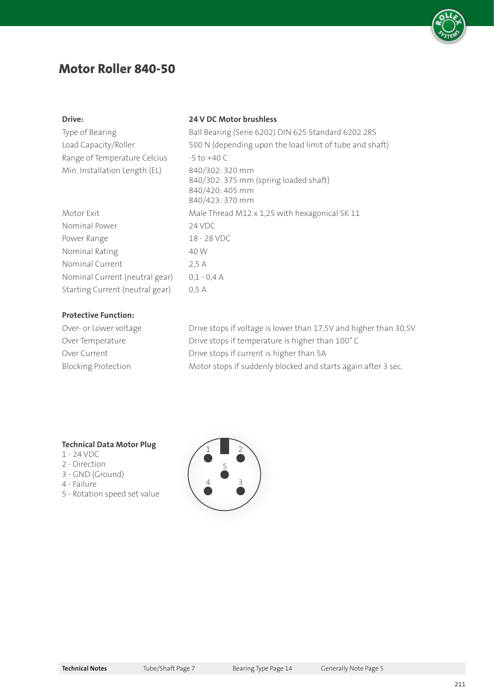

| Drive:                          | 24 V DC Motor brushless                                                                        |
|---------------------------------|------------------------------------------------------------------------------------------------|
| Type of Bearing                 | Ball Bearing (Serie 6202) DIN 625 Standard 6202 2RS                                            |
| Load Capacity/Roller            | 500 N (depending upon the load limit of tube and shaft)                                        |
| Range of Temperature Celcius    | $-5$ to $+40$ C                                                                                |
| Min. Installation Length (EL)   | 840/302: 320 mm<br>840/302: 375 mm (spring loaded shaft)<br>840/420: 405 mm<br>840/423: 370 mm |
| Motor Exit                      | Male Thread M12 x 1,25 with hexagonical SK 11                                                  |
| Nominal Power                   | 24 VDC                                                                                         |
| Power Range                     | 18 - 28 VDC                                                                                    |
| Nominal Rating                  | 40 W                                                                                           |
| Nominal Current                 | 2,5A                                                                                           |
| Nominal Current (neutral gear)  | $0,1 - 0,4 A$                                                                                  |
| Starting Current (neutral gear) | 0.5A                                                                                           |
| <b>Protective Function:</b>     |                                                                                                |
| Over- or Lower voltage          | Drive stops if voltage is lower than 17,5V and higher than 30                                  |

| Drive stops if voltage is lower than 17,5V and higher than 30,5V |
|------------------------------------------------------------------|
| Drive stops if temperature is higher than 100°C                  |
| Drive stops if current is higher than 5A                         |
| Motor stops if suddenly blocked and starts again after 3 sec.    |
|                                                                  |

### **Technical Data Motor Plug**

- 1 24 VDC
- 2 Direction
- 3 GND (Ground)
- 4 Failure
- 5 Rotation speed set value

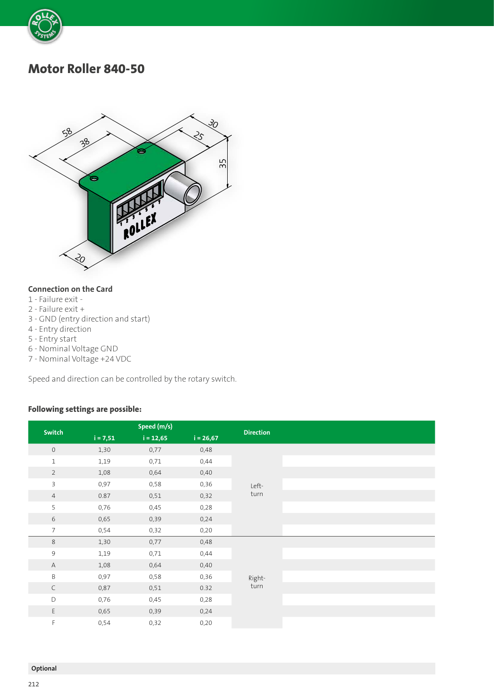



#### **Connection on the Card**

- 1 Failure exit -
- 2 Failure exit +
- 3 GND (entry direction and start)
- 4 Entry direction
- 5 Entry start
- 6 Nominal Voltage GND
- 7 Nominal Voltage +24 VDC

Speed and direction can be controlled by the rotary switch.

#### **Following settings are possible:**

| Switch         |            | Speed (m/s) |             | <b>Direction</b> |
|----------------|------------|-------------|-------------|------------------|
|                | $i = 7,51$ | $i = 12,65$ | $i = 26,67$ |                  |
| $\mathbf{0}$   | 1,30       | 0,77        | 0,48        |                  |
| $\,1$          | 1,19       | 0,71        | 0,44        |                  |
| $\overline{2}$ | 1,08       | 0,64        | 0,40        |                  |
| $\mathsf{3}$   | 0,97       | 0,58        | 0,36        | Left-            |
| $\overline{4}$ | 0.87       | 0,51        | 0,32        | turn             |
| 5              | 0,76       | 0,45        | 0,28        |                  |
| 6              | 0,65       | 0,39        | 0,24        |                  |
| 7              | 0,54       | 0,32        | 0,20        |                  |
| 8              | 1,30       | 0,77        | 0,48        |                  |
| $\mathsf 9$    | 1,19       | 0,71        | 0,44        |                  |
| $\mathsf{A}$   | 1,08       | 0,64        | 0,40        |                  |
| $\sf B$        | 0,97       | 0,58        | 0,36        | Right-           |
| $\subset$      | 0,87       | 0,51        | 0.32        | turn             |
| $\mathsf D$    | 0,76       | 0,45        | 0,28        |                  |
| $\mathsf E$    | 0,65       | 0,39        | 0,24        |                  |
| F              | 0,54       | 0,32        | 0,20        |                  |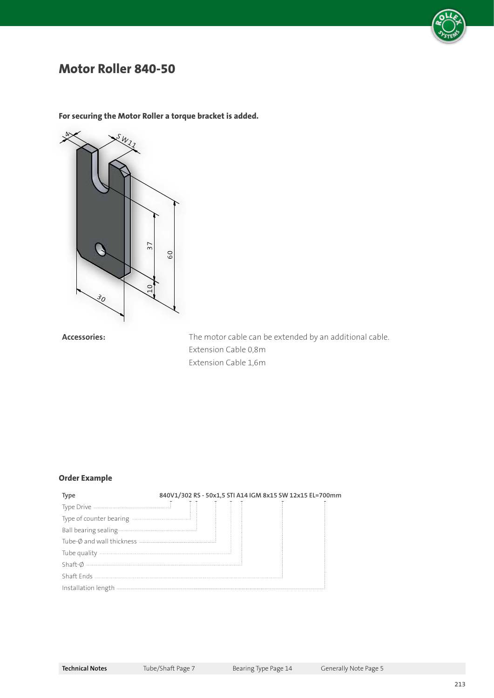

 $\overline{5}$  $\mathcal{C}$  $60$  $\circ$  $\zeta_O$ 

**For securing the Motor Roller a torque bracket is added.**

Accessories: The motor cable can be extended by an additional cable. Extension Cable 0,8m Extension Cable 1,6m

#### **Order Example**

| <b>Type</b> | 840V1/302 RS - 50x1,5 STI A14 IGM 8x15 SW 12x15 EL=700mm |  |
|-------------|----------------------------------------------------------|--|
|             |                                                          |  |
|             |                                                          |  |
|             |                                                          |  |
|             |                                                          |  |
|             |                                                          |  |
|             |                                                          |  |
|             |                                                          |  |
|             |                                                          |  |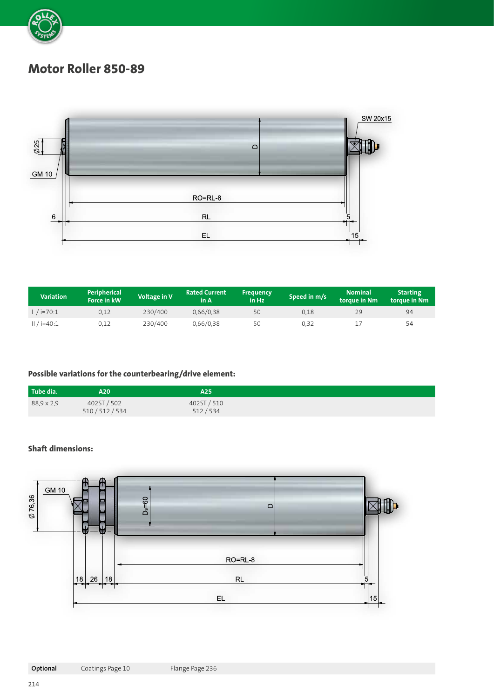



| <b>Variation</b>     | <b>Peripherical</b><br>Force in kW | <b>Voltage in V</b> | <b>Rated Current</b><br>in A | <b>Frequency</b><br>in Hz | Speed in m/s | <b>Nominal</b><br>toraue in Nm | <b>Starting</b><br>toraue in Nm |
|----------------------|------------------------------------|---------------------|------------------------------|---------------------------|--------------|--------------------------------|---------------------------------|
| $/$ i=70:1           |                                    | 230/400             | 0.66/0.38                    | 50                        | 0.18         | 29                             | 94                              |
| $\parallel$ / i=40:1 | 0.12                               | 230/400             | 0,66/0,38                    | 50                        | 0,32         |                                | 54                              |

### **Possible variations for the counterbearing/drive element:**

| Tube dia.         | <b>A20</b>                 | A25                    |
|-------------------|----------------------------|------------------------|
| $88.9 \times 2.9$ | 402ST / 502<br>510/512/534 | 402ST / 510<br>512/534 |

### **Shaft dimensions:**

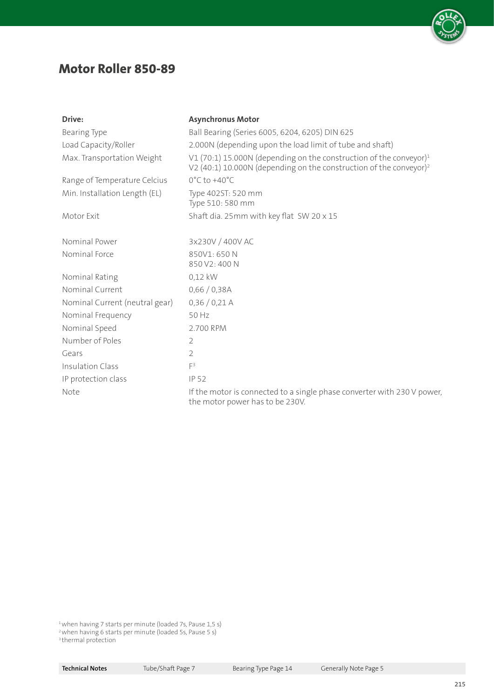

| Drive:                         | <b>Asynchronus Motor</b>                                                                                                                                         |
|--------------------------------|------------------------------------------------------------------------------------------------------------------------------------------------------------------|
| Bearing Type                   | Ball Bearing (Series 6005, 6204, 6205) DIN 625                                                                                                                   |
| Load Capacity/Roller           | 2.000N (depending upon the load limit of tube and shaft)                                                                                                         |
| Max. Transportation Weight     | V1 (70:1) 15.000N (depending on the construction of the conveyor) <sup>1</sup><br>V2 (40:1) 10.000N (depending on the construction of the conveyor) <sup>2</sup> |
| Range of Temperature Celcius   | $0^{\circ}$ C to +40 $^{\circ}$ C                                                                                                                                |
| Min. Installation Length (EL)  | Type 402ST: 520 mm<br>Type 510: 580 mm                                                                                                                           |
| Motor Exit                     | Shaft dia. 25mm with key flat SW 20 x 15                                                                                                                         |
| Nominal Power                  | 3x230V / 400V AC                                                                                                                                                 |
| Nominal Force                  | 850V1:650 N<br>850 V2: 400 N                                                                                                                                     |
| Nominal Rating                 | $0,12$ kW                                                                                                                                                        |
| Nominal Current                | 0,66/0,38A                                                                                                                                                       |
| Nominal Current (neutral gear) | 0,36/0,21A                                                                                                                                                       |
| Nominal Frequency              | 50 Hz                                                                                                                                                            |
| Nominal Speed                  | 2.700 RPM                                                                                                                                                        |
| Number of Poles                | $\overline{2}$                                                                                                                                                   |
| Gears                          | $\overline{2}$                                                                                                                                                   |
| <b>Insulation Class</b>        | F <sup>3</sup>                                                                                                                                                   |
| IP protection class            | IP 52                                                                                                                                                            |
| Note                           | If the motor is connected to a single phase converter with 230 V power<br>the motor power has to be 230V.                                                        |

<sup>1</sup> when having 7 starts per minute (loaded 7s, Pause 1,5 s)

<sup>2</sup> when having 6 starts per minute (loaded 5s, Pause 5 s)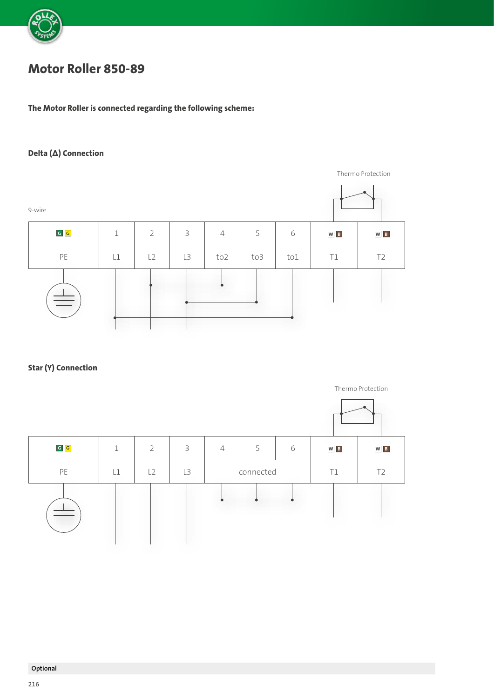

**The Motor Roller is connected regarding the following scheme:**

### **Delta (∆) Connection**



**Star (Y) Connection**